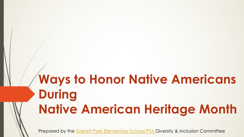# **Ways to Honor Nativ During Native American He**

Prepared by the Garrett Park Elementary School PTA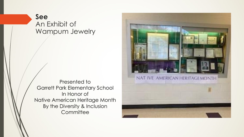#### **See** An Exhibit of Wampum Jewelry

Presented to Garrett Park Elementary School In Honor of Native American Heritage Month By the Diversity & Inclusion **Committee** 

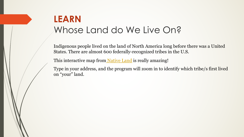## **LEARN** Whose Land do We Live

Indigenous people lived on the land of North Amer States. There are almost 600 federally-recognized

This interactive map from Native Land is really am

Type in your address, and the program will zoom in on "your" land.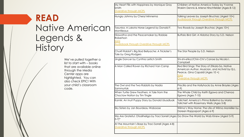### **READ** Native American Legends & **History**

We've pulled together a list to start with – books that are available online through the Media Center apps are highlighted. You can also check EPIC! With your child's classroom code.

My Heart Fills with Happiness by M Smith

Overdrive through MCPL

Hungry Johnny by Cheryl Minnem

Tasunka: A Lakota Horse Legend Montileaux

Hiawatha and the Peacemaker b Robertson

Sora Audiobook through Overdrive thr

Chukfi Rabbit's Big Bad Bellyache Tale by Greg Rodgers

Jingle Dancer by Cynthia Leitich

A Man Called Raven by Richard

The Owl and the Two Rabbits by I Sammurtok

When Turtle Grew Feathers: A Tale Choctaw Nation by Tim Tingle

Kamik: An Inuit Puppy Story by Do

Sky Sisters by Jan Bourdeau Wabe:

We Are Grateful: Otsaliheliga by  $(3-7)*$ 

At the Mountain's Base by Traci S Overdrive through MCPL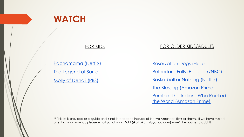

#### FOR KIDS

Pachamama (Netflix)

The Legend of Sarila

Molly of Denali (PBS)

 $\overline{R}$  $\underline{B}$  $\mathbb{I}^{\mathcal{F}}$ R<sub>I</sub> <u>th</u>

 $\overline{R}$ 

\*\* This list is provided as a guide and is not intended to include all Nat one that you know of, please email Sandhya K. Kidd (skattakuzhy@yc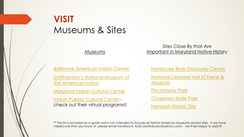# **[VISIT](https://americanindian.si.edu/)** [Museums & Sites](https://www.facebook.com/pages/Piscataway-Indian-Museum/213893381978198)

| Museums                                                                      | mc |
|------------------------------------------------------------------------------|----|
|                                                                              |    |
| <b>Baltimore American Indian Center</b>                                      |    |
| <b>Smithsonian's National Museum of</b><br>the American Indian               |    |
| <b>Maryland Indian Cultural Center</b>                                       |    |
| <b>Indian Pueblo Cultural Center -</b><br>check out their virtual programs!! |    |

\*\* This list is provided as a guide and is not intended to include all Nat missed one that you know of, please email Sandhya K. Kidd (skattaku